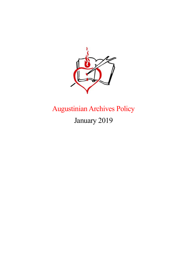

# Augustinian Archives Policy

January 2019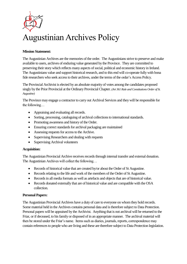

# Augustinian Archives Policy

#### **Mission Statement:**

The Augustinian Archives are the memories of the order. The Augustinians strive to preserve and make available to users, archives of enduring value generated by the Province. They are committed to preserving their story which reflects many aspects of social, political and economic history in Ireland. The Augustinians value and support historical research, and to this end will co-operate fully with bona fide researchers who seek access to their archives, under the terms of the order's Access Policy.

The Provincial Archivist is elected by an absolute majority of votes among the candidates proposed singly by the Prior Provincial at the Ordinary Provincial Chapter. *(Art 361 Rule and Constitutions Order of St. Augustine)*

The Province may engage a contractor to carry out Archival Services and they will be responsible for the following…

- Appraising and evaluating all records.
- Sorting, processing, cataloguing of archival collections to international standards.
- Promoting awareness and history of the Order.
- Ensuring correct standards for archival packaging are maintained
- Assessing requests for access to the Archive.
- Supervising Researchers and dealing with requests
- Supervising Archival volunteers

#### **Acquisition:**

The Augustinian Provincial Archive receives records through internal transfer and external donation. The Augustinian Archives will collect the following…

- Records of historical value that are created by/or about the Order of St Augustine.
- Records relating to the life and work of the members of the Order of St Augustine.
- Records in all media formats as well as artefacts and objects that are of historical value.
- Records donated externally that are of historical value and are compatible with the OSA collection.

#### **Personal Papers:**

The Augustinian Provincial Archives have a duty of care to everyone on whom they hold records. Some material held in the Archives contains personal data and is therefore subject to Data Protection. Personal papers will be appraised by the Archivist. Anything that is not archival will be returned to the Friar, or if deceased, to his family or disposed of in an appropriate manner. The archival material will then be stored under the Friar's name. Items such as diaries, journals, reports, correspondence may contain references to people who are living and these are therefore subject to Data Protection legislation.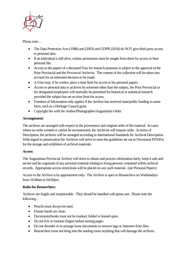

Please note…

- The Data Protection Acts (1988) and (2003) and GDPR (2018) do NOT give third party access to personal data.
- If an individual is still alive, written permission must be sought from them for access to their personal file.
- Access to the papers of a deceased Friar for research purposes is subject to the approval of the Prior Provincial and the Provincial Archivist. The content of the collection will be taken into account for an informed decision to be made.
- A Friar may, if he wishes, place a time limit for access to his personal papers.
- Access to personal data in archives by someone other than the subject, the Prior Provincial or his designated employees will normally be permitted for historical or statistical research provided the subject has set no time limit for access.
- Freedom of Information only applies if the Archive has received state/public funding in some form, such as a Heritage Council grant.
- Copyright lies with the Author/Photographer/Augustinian Order.

# **Arrangement:**

The archives are arranged with respect to the provenance and original order of the material. In cases where no order existed or cannot be reconstructed, the Archivist will impose order. In terms of Description, the archives will be arranged according to International Standards for Archival Description. With regard to preservation the Archives will strive to meet the guidelines set out in Document PD5454, for the storage and exhibition of archival materials.

# **Access:**

The Augustinian Provincial Archive will strive to obtain and process information fairly, keep it safe and secure and be cognisant of any personal material relating to living persons contained within archival records. Appropriate access restrictions will be placed on any such material. (see Personal Papers)

Access to the Archive is by appointment only. The Archive is open to Researchers on Wednesdays from 10.00am to 04.00pm.

#### **Rules for Researchers:**

Archives are fragile and irreplaceable. They should be handled with great care. Please note the following…

- Pencils must always be used.
- Ensure hands are clean.
- Documents/books must not be marked, folded or leaned upon.
- Do not lick or moisten fingers before turning pages.
- Do not disorder or re-arrange loose documents or remove tags or fasteners from files.
- Researchers must not bring into the reading room anything that will damage the archives.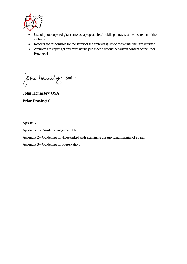

- Use of photocopier/digital cameras/laptops/tablets/mobile phones is at the discretion of the archivist.
- Readers are responsible for the safety of the archives given to them until they are returned.
- Archives are copyright and must not be published without the written consent of the Prior Provincial.

Om Hennelsy 03A

**John Hennebry OSA Prior Provincial**

Appendix

- Appendix 1 Disaster Management Plan:
- Appendix 2 Guidelines for those tasked with examining the surviving material of a Friar.
- Appendix 3 Guidelines for Preservation.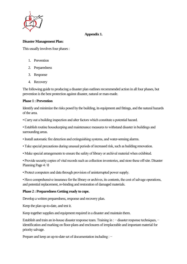

#### **Appendix 1.**

## **Disaster Management Plan:**

This usually involves four phases :

- 1. Prevention
- 2. Preparedness
- 3. Response
- 4. Recovery

The following guide to producing a disaster plan outlines recommended action in all four phases, but prevention is the best protection against disaster, natural or man-made.

#### **Phase 1 : Prevention**

Identify and minimize the risks posed by the building, its equipment and fittings, and the natural hazards of the area.

• Carry out a building inspection and alter factors which constitute a potential hazard.

• Establish routine housekeeping and maintenance measures to withstand disaster in buildings and surrounding areas.

- Install automatic fire detection and extinguishing systems, and water-sensing alarms.
- Take special precautions during unusual periods of increased risk, such as building renovation.
- Make special arrangements to ensure the safety of library or archival material when exhibited.

• Provide security copies of vital records such as collection inventories, and store these off-site. Disaster Planning Page 4 / 8

• Protect computers and data through provision of uninterrupted power supply.

• Have comprehensive insurance for the library or archives, its contents, the cost of salvage operations, and potential replacement, re-binding and restoration of damaged materials.

#### **Phase 2 : Preparedness Getting ready to cope.**

Develop a written preparedness, response and recovery plan.

Keep the plan up-to-date, and test it.

Keep together supplies and equipment required in a disaster and maintain them.

Establish and train an in-house disaster response team. Training in : − disaster response techniques, − identification and marking on floor-plans and enclosures of irreplaceable and important material for priority salvage.

Prepare and keep an up-to-date set of documentation including : −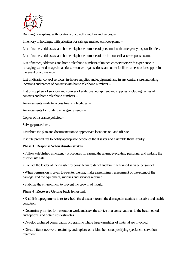

Building floor-plans, with locations of cut-off switches and valves. –

Inventory of holdings, with priorities for salvage marked on floor-plans. –

List of names, addresses, and home telephone numbers of personnel with emergency responsibilities. –

List of names, addresses, and home telephone numbers of the in-house disaster response team. –

List of names, addresses and home telephone numbers of trained conservators with experience in salvaging water-damaged materials, resource organisations, and other facilities able to offer support in the event of a disaster. –

List of disaster control services, in-house supplies and equipment, and in any central store, including locations and names of contacts with home telephone numbers. –

List of suppliers of services and sources of additional equipment and supplies, including names of contacts and home telephone numbers. –

Arrangements made to access freezing facilities. –

Arrangements for funding emergency needs. –

Copies of insurance policies. –

Salvage procedures.

Distribute the plan and documentation to appropriate locations on- and off-site.

Institute procedures to notify appropriate people of the disaster and assemble them rapidly.

#### **Phase 3 : Response When disaster strikes.**

• Follow established emergency procedures for raising the alarm, evacuating personnel and making the disaster site safe

• Contact the leader of the disaster response team to direct and brief the trained salvage personnel

• When permission is given to re-enter the site, make a preliminary assessment of the extent of the damage, and the equipment, supplies and services required.

• Stabilize the environment to prevent the growth of mould.

#### **Phase 4 : Recovery Getting back to normal**.

• Establish a programme to restore both the disaster site and the damaged materials to a stable and usable condition.

• Determine priorities for restoration work and seek the advice of a conservator as to the best methods and options, and obtain cost estimates.

• Develop a phased conservation programme where large quantities of material are involved.

• Discard items not worth retaining, and replace or re-bind items not justifying special conservation treatment.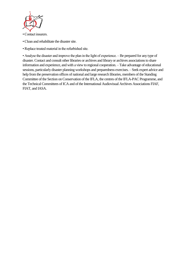

• Contact insurers.

- Clean and rehabilitate the disaster site.
- Replace treated material in the refurbished site.

• Analyse the disaster and improve the plan in the light of experience. – Be prepared for any type of disaster. Contact and consult other libraries or archives and library or archives associations to share information and experience, and with a view to regional cooperation. – Take advantage of educational sessions, particularly disaster planning workshops and preparedness exercises. – Seek expert advice and help from the preservation offices of national and large research libraries, members of the Standing Committee of the Section on Conservation of the IFLA, the centres of the IFLA-PAC Programme, and the Technical Committees of ICA and of the International Audiovisual Archives Associations FIAF, FIAT, and IASA.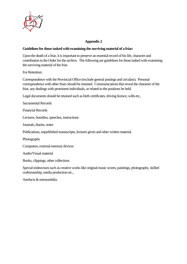

# **Appendix 2**

#### **Guidelines for those tasked with examining the surviving material of a friar:**

Upon the death of a friar, it is important to preserve an essential record of his life, character and contribution to the Order for the archive. The following are guidelines for those tasked with examining the surviving material of the friar.

For Retention:

Correspondence with the Provincial Office (exclude general postings and circulars). Personal correspondence with other friars should be retained. Communications that reveal the character of the friar, any dealings with prominent individuals, or related to the positions he held.

Legal documents should be retained such as birth certificates, driving licence, wills etc.,

Sacramental Records

Financial Records

Lectures, homilies, speeches, instructions

Journals, diaries, notes

Publications, unpublished manuscripts, lectures given and other written material.

Photographs

Computers, external memory devices

Audio/Visual material

Books, clippings, other collections

Special endeavours such as creative works like original music scores, paintings, photography, skilled craftsmanship, media production etc.,

Artefacts & memorabilia.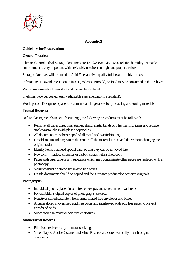

# **Appendix 3**

#### **Guidelines for Preservation:**

#### **General Practice:**

Climate Control: Ideal Storage Conditions are 13 - 24◦ c and 45 – 65% relative humidity. A stable environment is very important with preferably no direct sunlight and proper air flow.

Storage: Archives will be stored in Acid Free, archival quality folders and archive boxes.

Infestation: To avoid infestation of insects, rodents or mould, no food may be consumed in the archives.

Walls: impermeable to moisture and thermally insulated.

Shelving: Powder coated, easily adjustable steel shelving (fire resistant).

Workspaces: Designated space to accommodate large tables for processing and sorting materials.

#### **Textual Records:**

Before placing records in acid-free storage, the following procedures must be followed:-

- Remove all paper clips, pins, staples, string, elastic bands or other harmful items and replace staples/metal clips with plastic paper clips.
- All documents must be stripped of all metal and plastic bindings.
- Unfold and uncurl pages to make certain all the material is neat and flat without changing the original order.
- Identify items that need special care, so that they can be removed later.
- Newsprint replace clippings or carbon copies with a photocopy
- Pages with tape, glue or any substance which may contaminate other pages are replaced with a photocopy.
- Volumes must be stored flat in acid free boxes.
- Fragile documents should be copied and the surrogate produced to preserve originals.

#### **Photographs:**

- Individual photos placed in acid free envelopes and stored in archival boxes
- For exhibitions digital copies of photographs are used.
- Negatives stored separately from prints in acid free envelopes and boxes
- Albums stored in oversized acid free boxes and interleaved with acid free paper to prevent transfer of acids.
- Slides stored in mylar or acid free enclosures.

#### **Audio/Visual Records**

- Film is stored vertically on metal shelving.
- Video Tapes, Audio Cassettes and Vinyl Records are stored vertically in their original containers.